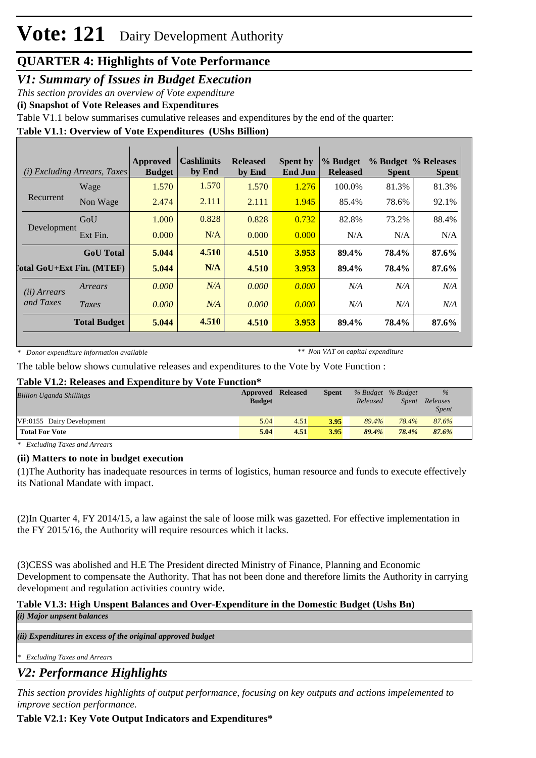### *V1: Summary of Issues in Budget Execution*

*This section provides an overview of Vote expenditure*

**(i) Snapshot of Vote Releases and Expenditures**

Table V1.1 below summarises cumulative releases and expenditures by the end of the quarter:

### **Table V1.1: Overview of Vote Expenditures (UShs Billion)**

| (i)                   | <i>Excluding Arrears, Taxes</i>  | Approved<br><b>Budget</b> | <b>Cashlimits</b><br>by End | <b>Released</b><br>by End | <b>Spent by</b><br><b>End Jun</b> | % Budget<br><b>Released</b> | <b>Spent</b> | % Budget % Releases<br><b>Spent</b> |
|-----------------------|----------------------------------|---------------------------|-----------------------------|---------------------------|-----------------------------------|-----------------------------|--------------|-------------------------------------|
|                       | Wage                             | 1.570                     | 1.570                       | 1.570                     | 1.276                             | 100.0%                      | 81.3%        | 81.3%                               |
| Recurrent             | Non Wage                         | 2.474                     | 2.111                       | 2.111                     | 1.945                             | 85.4%                       | 78.6%        | 92.1%                               |
|                       | GoU                              | 1.000                     | 0.828                       | 0.828                     | 0.732                             | 82.8%                       | 73.2%        | 88.4%                               |
| Development           | Ext Fin.                         | 0.000                     | N/A                         | 0.000                     | 0.000                             | N/A                         | N/A          | N/A                                 |
|                       | <b>GoU</b> Total                 | 5.044                     | 4.510                       | 4.510                     | 3.953                             | 89.4%                       | 78.4%        | 87.6%                               |
|                       | <b>Total GoU+Ext Fin. (MTEF)</b> | 5.044                     | N/A                         | 4.510                     | 3.953                             | 89.4%                       | 78.4%        | 87.6%                               |
| ( <i>ii</i> ) Arrears | Arrears                          | 0.000                     | N/A                         | 0.000                     | 0.000                             | N/A                         | N/A          | N/A                                 |
| and Taxes             | Taxes                            | 0.000                     | N/A                         | 0.000                     | 0.000                             | N/A                         | N/A          | N/A                                 |
|                       | <b>Total Budget</b>              | 5.044                     | 4.510                       | 4.510                     | 3.953                             | 89.4%                       | 78.4%        | 87.6%                               |

*\* Donor expenditure information available*

*\*\* Non VAT on capital expenditure*

The table below shows cumulative releases and expenditures to the Vote by Vote Function :

### **Table V1.2: Releases and Expenditure by Vote Function\***

| <b>Billion Uganda Shillings</b> | Approved<br><b>Budget</b> | <b>Released</b> | <b>Spent</b> | Released | % Budget % Budget<br>Spent | $\%$<br>Releases<br><i>Spent</i> |
|---------------------------------|---------------------------|-----------------|--------------|----------|----------------------------|----------------------------------|
| VF:0155 Dairy Development       | 5.04                      | 4.51            | 3.95         | 89.4%    | 78.4%                      | 87.6%                            |
| <b>Total For Vote</b>           | 5.04                      | 4.51            | 3.95         | 89.4%    | 78.4%                      | 87.6%                            |

*\* Excluding Taxes and Arrears*

### **(ii) Matters to note in budget execution**

(1) The Authority has inadequate resources in terms of logistics, human resource and funds to execute effectively its National Mandate with impact.

(2)In Quarter 4, FY 2014/15, a law against the sale of loose milk was gazetted. For effective implementation in the FY 2015/16, the Authority will require resources which it lacks.

(3) CESS was abolished and H.E The President directed Ministry of Finance, Planning and Economic Development to compensate the Authority. That has not been done and therefore limits the Authority in carrying development and regulation activities country wide.

#### **Table V1.3: High Unspent Balances and Over-Expenditure in the Domestic Budget (Ushs Bn)** *(i) Major unpsent balances*

*(ii) Expenditures in excess of the original approved budget*

*\* Excluding Taxes and Arrears*

### *V2: Performance Highlights*

*This section provides highlights of output performance, focusing on key outputs and actions impelemented to improve section performance.*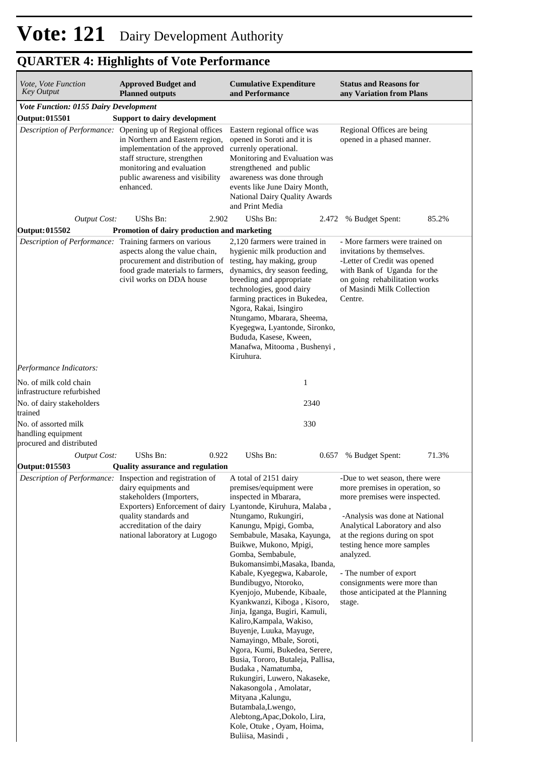| <i>Vote, Vote Function</i><br><b>Key Output</b>              | <b>Approved Budget and</b><br><b>Planned outputs</b>                                                                                                                                                                                                                               | <b>Cumulative Expenditure</b><br>and Performance                                                                                                                                                                                                                                                                                                                                                                                                                                                                                                                                                                                                                                                                                                                          | <b>Status and Reasons for</b><br>any Variation from Plans                                                                                                                                                                                                                                                                                                 |
|--------------------------------------------------------------|------------------------------------------------------------------------------------------------------------------------------------------------------------------------------------------------------------------------------------------------------------------------------------|---------------------------------------------------------------------------------------------------------------------------------------------------------------------------------------------------------------------------------------------------------------------------------------------------------------------------------------------------------------------------------------------------------------------------------------------------------------------------------------------------------------------------------------------------------------------------------------------------------------------------------------------------------------------------------------------------------------------------------------------------------------------------|-----------------------------------------------------------------------------------------------------------------------------------------------------------------------------------------------------------------------------------------------------------------------------------------------------------------------------------------------------------|
| Vote Function: 0155 Dairy Development                        |                                                                                                                                                                                                                                                                                    |                                                                                                                                                                                                                                                                                                                                                                                                                                                                                                                                                                                                                                                                                                                                                                           |                                                                                                                                                                                                                                                                                                                                                           |
| <b>Output:015501</b>                                         | <b>Support to dairy development</b><br>Description of Performance: Opening up of Regional offices<br>in Northern and Eastern region,<br>implementation of the approved<br>staff structure, strengthen<br>monitoring and evaluation<br>public awareness and visibility<br>enhanced. | Eastern regional office was<br>opened in Soroti and it is<br>currenly operational.<br>Monitoring and Evaluation was<br>strengthened and public<br>awareness was done through<br>events like June Dairy Month,<br>National Dairy Quality Awards<br>and Print Media                                                                                                                                                                                                                                                                                                                                                                                                                                                                                                         | Regional Offices are being<br>opened in a phased manner.                                                                                                                                                                                                                                                                                                  |
| <b>Output Cost:</b>                                          | UShs Bn:<br>2.902                                                                                                                                                                                                                                                                  | UShs Bn:<br>2.472                                                                                                                                                                                                                                                                                                                                                                                                                                                                                                                                                                                                                                                                                                                                                         | 85.2%<br>% Budget Spent:                                                                                                                                                                                                                                                                                                                                  |
| Output: 015502                                               | Promotion of dairy production and marketing                                                                                                                                                                                                                                        |                                                                                                                                                                                                                                                                                                                                                                                                                                                                                                                                                                                                                                                                                                                                                                           |                                                                                                                                                                                                                                                                                                                                                           |
| Description of Performance:                                  | Training farmers on various<br>aspects along the value chain,<br>procurement and distribution of<br>food grade materials to farmers,<br>civil works on DDA house                                                                                                                   | 2,120 farmers were trained in<br>hygienic milk production and<br>testing, hay making, group<br>dynamics, dry season feeding,<br>breeding and appropriate<br>technologies, good dairy<br>farming practices in Bukedea,<br>Ngora, Rakai, Isingiro<br>Ntungamo, Mbarara, Sheema,<br>Kyegegwa, Lyantonde, Sironko,<br>Bududa, Kasese, Kween,<br>Manafwa, Mitooma, Bushenyi,<br>Kiruhura.                                                                                                                                                                                                                                                                                                                                                                                      | - More farmers were trained on<br>invitations by themselves.<br>-Letter of Credit was opened<br>with Bank of Uganda for the<br>on going rehabilitation works<br>of Masindi Milk Collection<br>Centre.                                                                                                                                                     |
| Performance Indicators:                                      |                                                                                                                                                                                                                                                                                    |                                                                                                                                                                                                                                                                                                                                                                                                                                                                                                                                                                                                                                                                                                                                                                           |                                                                                                                                                                                                                                                                                                                                                           |
| No. of milk cold chain<br>infrastructure refurbished         |                                                                                                                                                                                                                                                                                    | 1                                                                                                                                                                                                                                                                                                                                                                                                                                                                                                                                                                                                                                                                                                                                                                         |                                                                                                                                                                                                                                                                                                                                                           |
| No. of dairy stakeholders<br>trained<br>No. of assorted milk |                                                                                                                                                                                                                                                                                    | 2340<br>330                                                                                                                                                                                                                                                                                                                                                                                                                                                                                                                                                                                                                                                                                                                                                               |                                                                                                                                                                                                                                                                                                                                                           |
| handling equipment<br>procured and distributed               |                                                                                                                                                                                                                                                                                    |                                                                                                                                                                                                                                                                                                                                                                                                                                                                                                                                                                                                                                                                                                                                                                           |                                                                                                                                                                                                                                                                                                                                                           |
| <b>Output Cost:</b>                                          | UShs Bn:<br>0.922                                                                                                                                                                                                                                                                  | UShs Bn:<br>0.657                                                                                                                                                                                                                                                                                                                                                                                                                                                                                                                                                                                                                                                                                                                                                         | 71.3%<br>% Budget Spent:                                                                                                                                                                                                                                                                                                                                  |
| Output: 015503                                               | <b>Quality assurance and regulation</b>                                                                                                                                                                                                                                            |                                                                                                                                                                                                                                                                                                                                                                                                                                                                                                                                                                                                                                                                                                                                                                           |                                                                                                                                                                                                                                                                                                                                                           |
|                                                              | Description of Performance: Inspection and registration of<br>dairy equipments and<br>stakeholders (Importers,<br>Exporters) Enforcement of dairy Lyantonde, Kiruhura, Malaba,<br>quality standards and<br>accreditation of the dairy<br>national laboratory at Lugogo             | A total of 2151 dairy<br>premises/equipment were<br>inspected in Mbarara,<br>Ntungamo, Rukungiri,<br>Kanungu, Mpigi, Gomba,<br>Sembabule, Masaka, Kayunga,<br>Buikwe, Mukono, Mpigi,<br>Gomba, Sembabule,<br>Bukomansimbi, Masaka, Ibanda,<br>Kabale, Kyegegwa, Kabarole,<br>Bundibugyo, Ntoroko,<br>Kyenjojo, Mubende, Kibaale,<br>Kyankwanzi, Kiboga, Kisoro,<br>Jinja, Iganga, Bugiri, Kamuli,<br>Kaliro, Kampala, Wakiso,<br>Buyenje, Luuka, Mayuge,<br>Namayingo, Mbale, Soroti,<br>Ngora, Kumi, Bukedea, Serere,<br>Busia, Tororo, Butaleja, Pallisa,<br>Budaka, Namatumba,<br>Rukungiri, Luwero, Nakaseke,<br>Nakasongola, Amolatar,<br>Mityana, Kalungu,<br>Butambala, Lwengo,<br>Alebtong, Apac, Dokolo, Lira,<br>Kole, Otuke, Oyam, Hoima,<br>Buliisa, Masindi, | -Due to wet season, there were<br>more premises in operation, so<br>more premises were inspected.<br>-Analysis was done at National<br>Analytical Laboratory and also<br>at the regions during on spot<br>testing hence more samples<br>analyzed.<br>- The number of export<br>consignments were more than<br>those anticipated at the Planning<br>stage. |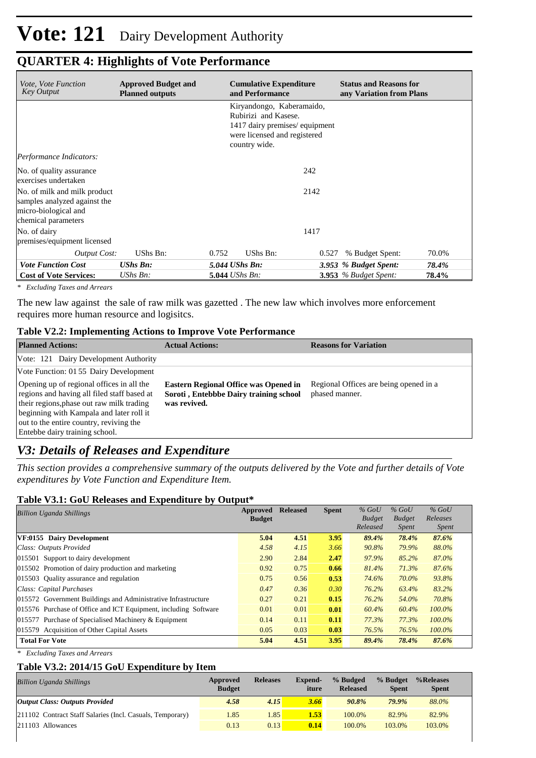| <i>Vote, Vote Function</i><br>Key Output                                                                    | <b>Approved Budget and</b><br><b>Planned outputs</b> | <b>Cumulative Expenditure</b><br>and Performance                                                                                    | <b>Status and Reasons for</b><br>any Variation from Plans |       |
|-------------------------------------------------------------------------------------------------------------|------------------------------------------------------|-------------------------------------------------------------------------------------------------------------------------------------|-----------------------------------------------------------|-------|
|                                                                                                             |                                                      | Kiryandongo, Kaberamaido,<br>Rubirizi and Kasese.<br>1417 dairy premises/equipment<br>were licensed and registered<br>country wide. |                                                           |       |
| Performance Indicators:                                                                                     |                                                      |                                                                                                                                     |                                                           |       |
| No. of quality assurance<br>exercises undertaken                                                            |                                                      |                                                                                                                                     | 242                                                       |       |
| No. of milk and milk product<br>samples analyzed against the<br>micro-biological and<br>chemical parameters |                                                      |                                                                                                                                     | 2142                                                      |       |
| No. of dairy<br>premises/equipment licensed                                                                 |                                                      |                                                                                                                                     | 1417                                                      |       |
| Output Cost:                                                                                                | UShs Bn:                                             | UShs Bn:<br>0.752                                                                                                                   | % Budget Spent:<br>0.527                                  | 70.0% |
| <b>Vote Function Cost</b>                                                                                   | <b>UShs Bn:</b>                                      | 5.044 UShs Bn:                                                                                                                      | 3.953 % Budget Spent:                                     | 78.4% |
| <b>Cost of Vote Services:</b>                                                                               | $\mathit{UShs}\, \mathit{Bn}$ :                      | <b>5.044</b> UShs Bn:                                                                                                               | $3.953$ % Budget Spent:                                   | 78.4% |

*\* Excluding Taxes and Arrears*

The new law against the sale of raw milk was gazetted . The new law which involves more enforcement requires more human resource and logisitcs.

#### **Table V2.2: Implementing Actions to Improve Vote Performance**

| <b>Planned Actions:</b>                                                                                                                                                                                                                                        | <b>Actual Actions:</b>                                                                                 | <b>Reasons for Variation</b>                             |
|----------------------------------------------------------------------------------------------------------------------------------------------------------------------------------------------------------------------------------------------------------------|--------------------------------------------------------------------------------------------------------|----------------------------------------------------------|
| Vote: 121 Dairy Development Authority                                                                                                                                                                                                                          |                                                                                                        |                                                          |
| Vote Function: 01 55 Dairy Development                                                                                                                                                                                                                         |                                                                                                        |                                                          |
| Opening up of regional offices in all the<br>regions and having all filed staff based at<br>their regions, phase out raw milk trading<br>beginning with Kampala and later roll it<br>out to the entire country, reviving the<br>Entebbe dairy training school. | <b>Eastern Regional Office was Opened in</b><br>Soroti, Entebbbe Dairy training school<br>was revived. | Regional Offices are being opened in a<br>phased manner. |

### *V3: Details of Releases and Expenditure*

*This section provides a comprehensive summary of the outputs delivered by the Vote and further details of Vote expenditures by Vote Function and Expenditure Item.*

#### **Table V3.1: GoU Releases and Expenditure by Output\***

| <b>Billion Uganda Shillings</b>                                 | Approved<br><b>Budget</b> | <b>Released</b> | <b>Spent</b> | $%$ GoU<br><b>Budget</b><br>Released | $%$ GoU<br><b>Budget</b><br><i>Spent</i> | $%$ GoU<br>Releases<br><i>Spent</i> |
|-----------------------------------------------------------------|---------------------------|-----------------|--------------|--------------------------------------|------------------------------------------|-------------------------------------|
| VF:0155 Dairy Development                                       | 5.04                      | 4.51            | 3.95         | 89.4%                                | 78.4%                                    | 87.6%                               |
| Class: Outputs Provided                                         | 4.58                      | 4.15            | 3.66         | 90.8%                                | 79.9%                                    | 88.0%                               |
| 015501 Support to dairy development                             | 2.90                      | 2.84            | 2.47         | 97.9%                                | 85.2%                                    | 87.0%                               |
| 015502 Promotion of dairy production and marketing              | 0.92                      | 0.75            | 0.66         | 81.4%                                | 71.3%                                    | 87.6%                               |
| 015503 Ouality assurance and regulation                         | 0.75                      | 0.56            | 0.53         | 74.6%                                | 70.0%                                    | 93.8%                               |
| Class: Capital Purchases                                        | 0.47                      | 0.36            | 0.30         | 76.2%                                | 63.4%                                    | 83.2%                               |
| 015572 Government Buildings and Administrative Infrastructure   | 0.27                      | 0.21            | 0.15         | 76.2%                                | 54.0%                                    | 70.8%                               |
| 015576 Purchase of Office and ICT Equipment, including Software | 0.01                      | 0.01            | 0.01         | 60.4%                                | 60.4%                                    | $100.0\%$                           |
| 015577 Purchase of Specialised Machinery $&$ Equipment          | 0.14                      | 0.11            | 0.11         | 77.3%                                | 77.3%                                    | $100.0\%$                           |
| 015579 Acquisition of Other Capital Assets                      | 0.05                      | 0.03            | 0.03         | 76.5%                                | 76.5%                                    | $100.0\%$                           |
| <b>Total For Vote</b>                                           | 5.04                      | 4.51            | 3.95         | 89.4%                                | 78.4%                                    | 87.6%                               |

*\* Excluding Taxes and Arrears*

### **Table V3.2: 2014/15 GoU Expenditure by Item**

| <b>Billion Uganda Shillings</b>                           | Approved<br><b>Budget</b> | <b>Releases</b> | Expend-<br>iture | % Budged<br><b>Released</b> | % Budget<br><b>Spent</b> | %Releases<br><b>Spent</b> |
|-----------------------------------------------------------|---------------------------|-----------------|------------------|-----------------------------|--------------------------|---------------------------|
| <b>Output Class: Outputs Provided</b>                     | 4.58                      | 4.15            | 3.66             | 90.8%                       | 79.9%                    | 88.0%                     |
| 211102 Contract Staff Salaries (Incl. Casuals, Temporary) | 1.85                      | l.85            | 1.53             | 100.0%                      | 82.9%                    | 82.9%                     |
| 211103 Allowances                                         | 0.13                      | 0.13            | 0.14             | 100.0%                      | 103.0%                   | 103.0%                    |